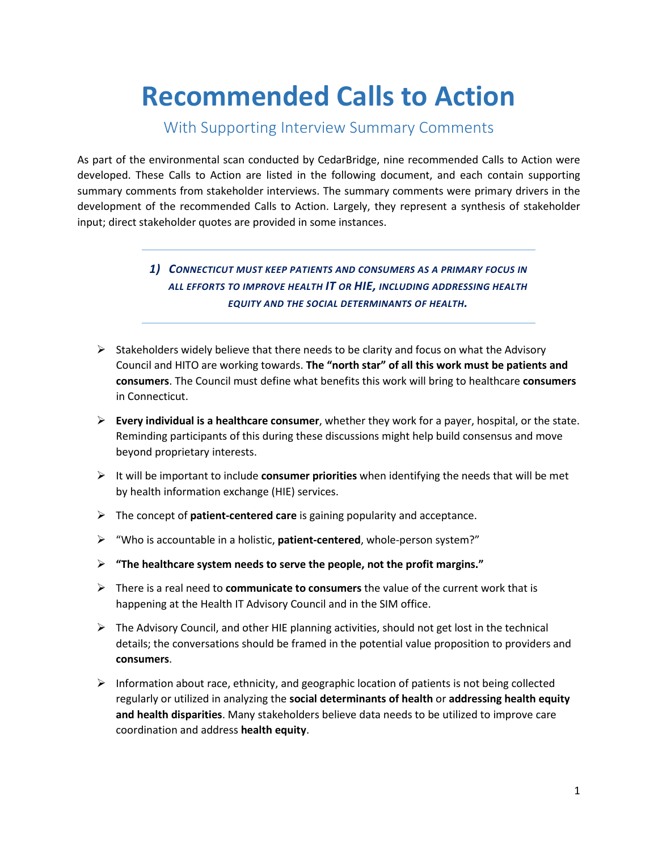# **Recommended Calls to Action**

## With Supporting Interview Summary Comments

As part of the environmental scan conducted by CedarBridge, nine recommended Calls to Action were developed. These Calls to Action are listed in the following document, and each contain supporting summary comments from stakeholder interviews. The summary comments were primary drivers in the development of the recommended Calls to Action. Largely, they represent a synthesis of stakeholder input; direct stakeholder quotes are provided in some instances.

#### *1) CONNECTICUT MUST KEEP PATIENTS AND CONSUMERS AS A PRIMARY FOCUS IN ALL EFFORTS TO IMPROVE HEALTH IT OR HIE, INCLUDING ADDRESSING HEALTH EQUITY AND THE SOCIAL DETERMINANTS OF HEALTH.*

- $\triangleright$  Stakeholders widely believe that there needs to be clarity and focus on what the Advisory Council and HITO are working towards. **The "north star" of all this work must be patients and consumers**. The Council must define what benefits this work will bring to healthcare **consumers** in Connecticut.
- **Every individual is a healthcare consumer**, whether they work for a payer, hospital, or the state. Reminding participants of this during these discussions might help build consensus and move beyond proprietary interests.
- It will be important to include **consumer priorities** when identifying the needs that will be met by health information exchange (HIE) services.
- The concept of **patient-centered care** is gaining popularity and acceptance.
- "Who is accountable in a holistic, **patient-centered**, whole-person system?"
- **"The healthcare system needs to serve the people, not the profit margins."**
- There is a real need to **communicate to consumers** the value of the current work that is happening at the Health IT Advisory Council and in the SIM office.
- $\triangleright$  The Advisory Council, and other HIE planning activities, should not get lost in the technical details; the conversations should be framed in the potential value proposition to providers and **consumers**.
- $\triangleright$  Information about race, ethnicity, and geographic location of patients is not being collected regularly or utilized in analyzing the **social determinants of health** or **addressing health equity and health disparities**. Many stakeholders believe data needs to be utilized to improve care coordination and address **health equity**.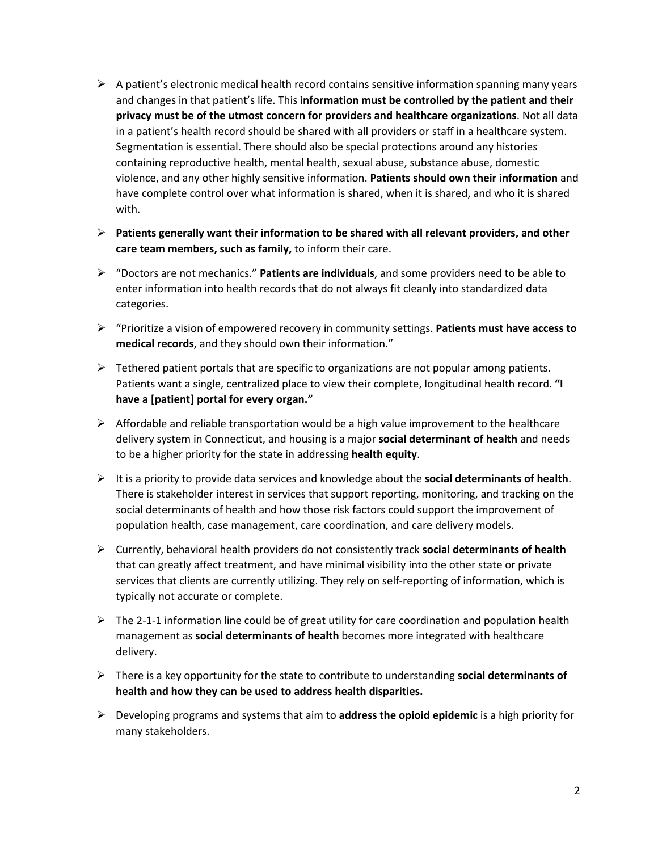- $\triangleright$  A patient's electronic medical health record contains sensitive information spanning many years and changes in that patient's life. This **information must be controlled by the patient and their privacy must be of the utmost concern for providers and healthcare organizations**. Not all data in a patient's health record should be shared with all providers or staff in a healthcare system. Segmentation is essential. There should also be special protections around any histories containing reproductive health, mental health, sexual abuse, substance abuse, domestic violence, and any other highly sensitive information. **Patients should own their information** and have complete control over what information is shared, when it is shared, and who it is shared with.
- **Patients generally want their information to be shared with all relevant providers, and other care team members, such as family,** to inform their care.
- "Doctors are not mechanics." **Patients are individuals**, and some providers need to be able to enter information into health records that do not always fit cleanly into standardized data categories.
- "Prioritize a vision of empowered recovery in community settings. **Patients must have access to medical records**, and they should own their information."
- $\triangleright$  Tethered patient portals that are specific to organizations are not popular among patients. Patients want a single, centralized place to view their complete, longitudinal health record. **"I have a [patient] portal for every organ."**
- $\triangleright$  Affordable and reliable transportation would be a high value improvement to the healthcare delivery system in Connecticut, and housing is a major **social determinant of health** and needs to be a higher priority for the state in addressing **health equity**.
- It is a priority to provide data services and knowledge about the **social determinants of health**. There is stakeholder interest in services that support reporting, monitoring, and tracking on the social determinants of health and how those risk factors could support the improvement of population health, case management, care coordination, and care delivery models.
- Currently, behavioral health providers do not consistently track **social determinants of health** that can greatly affect treatment, and have minimal visibility into the other state or private services that clients are currently utilizing. They rely on self-reporting of information, which is typically not accurate or complete.
- $\triangleright$  The 2-1-1 information line could be of great utility for care coordination and population health management as **social determinants of health** becomes more integrated with healthcare delivery.
- There is a key opportunity for the state to contribute to understanding **social determinants of health and how they can be used to address health disparities.**
- Developing programs and systems that aim to **address the opioid epidemic** is a high priority for many stakeholders.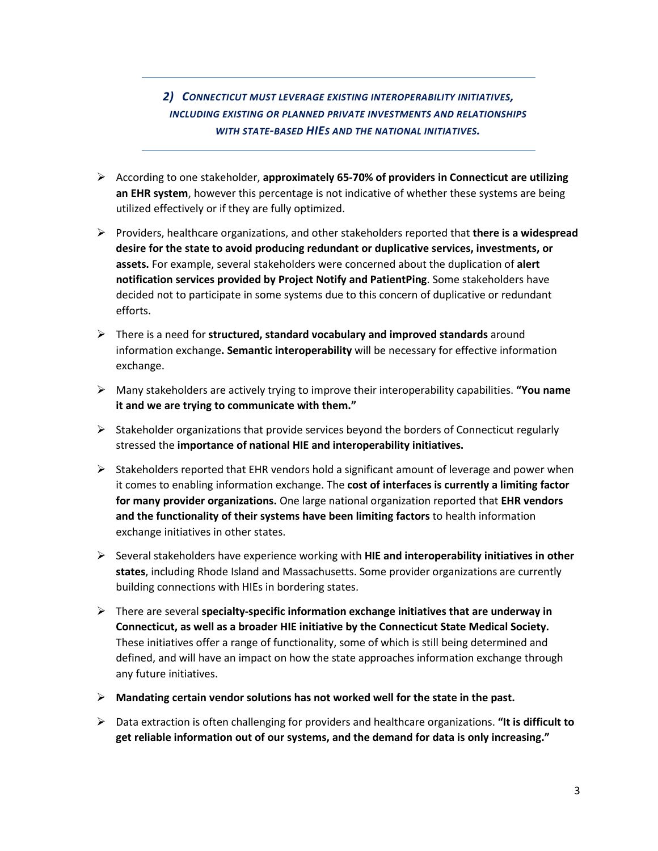### *2) CONNECTICUT MUST LEVERAGE EXISTING INTEROPERABILITY INITIATIVES, INCLUDING EXISTING OR PLANNED PRIVATE INVESTMENTS AND RELATIONSHIPS WITH STATE-BASED HIES AND THE NATIONAL INITIATIVES.*

- According to one stakeholder, **approximately 65-70% of providers in Connecticut are utilizing an EHR system**, however this percentage is not indicative of whether these systems are being utilized effectively or if they are fully optimized.
- Providers, healthcare organizations, and other stakeholders reported that **there is a widespread desire for the state to avoid producing redundant or duplicative services, investments, or assets.** For example, several stakeholders were concerned about the duplication of **alert notification services provided by Project Notify and PatientPing**. Some stakeholders have decided not to participate in some systems due to this concern of duplicative or redundant efforts.
- There is a need for **structured, standard vocabulary and improved standards** around information exchange**. Semantic interoperability** will be necessary for effective information exchange.
- Many stakeholders are actively trying to improve their interoperability capabilities. **"You name it and we are trying to communicate with them."**
- $\triangleright$  Stakeholder organizations that provide services beyond the borders of Connecticut regularly stressed the **importance of national HIE and interoperability initiatives.**
- $\triangleright$  Stakeholders reported that EHR vendors hold a significant amount of leverage and power when it comes to enabling information exchange. The **cost of interfaces is currently a limiting factor for many provider organizations.** One large national organization reported that **EHR vendors and the functionality of their systems have been limiting factors** to health information exchange initiatives in other states.
- Several stakeholders have experience working with **HIE and interoperability initiatives in other states**, including Rhode Island and Massachusetts. Some provider organizations are currently building connections with HIEs in bordering states.
- There are several **specialty-specific information exchange initiatives that are underway in Connecticut, as well as a broader HIE initiative by the Connecticut State Medical Society.** These initiatives offer a range of functionality, some of which is still being determined and defined, and will have an impact on how the state approaches information exchange through any future initiatives.
- **Mandating certain vendor solutions has not worked well for the state in the past.**
- Data extraction is often challenging for providers and healthcare organizations. **"It is difficult to get reliable information out of our systems, and the demand for data is only increasing."**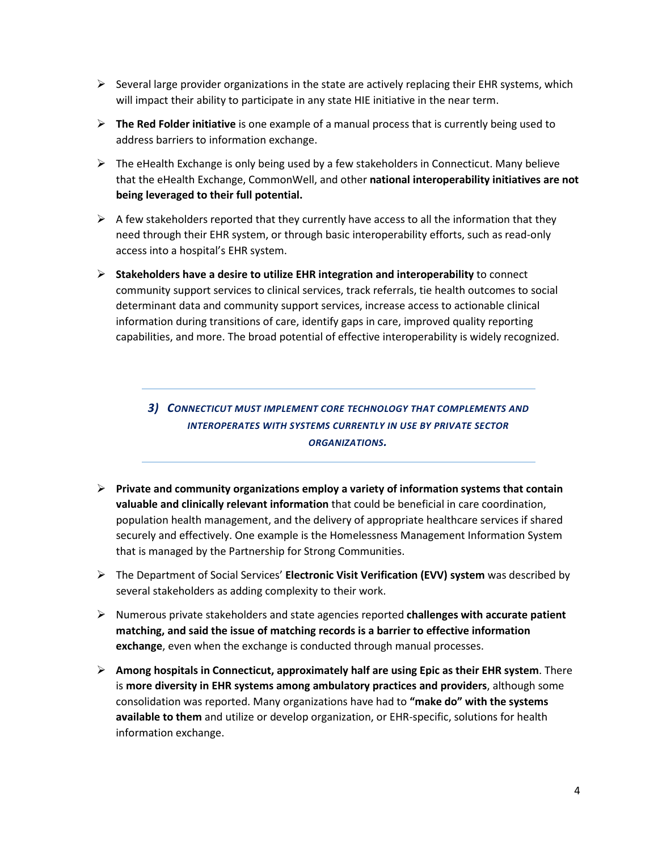- $\triangleright$  Several large provider organizations in the state are actively replacing their EHR systems, which will impact their ability to participate in any state HIE initiative in the near term.
- **The Red Folder initiative** is one example of a manual process that is currently being used to address barriers to information exchange.
- $\triangleright$  The eHealth Exchange is only being used by a few stakeholders in Connecticut. Many believe that the eHealth Exchange, CommonWell, and other **national interoperability initiatives are not being leveraged to their full potential.**
- $\triangleright$  A few stakeholders reported that they currently have access to all the information that they need through their EHR system, or through basic interoperability efforts, such as read-only access into a hospital's EHR system.
- **Stakeholders have a desire to utilize EHR integration and interoperability** to connect community support services to clinical services, track referrals, tie health outcomes to social determinant data and community support services, increase access to actionable clinical information during transitions of care, identify gaps in care, improved quality reporting capabilities, and more. The broad potential of effective interoperability is widely recognized.

*3) CONNECTICUT MUST IMPLEMENT CORE TECHNOLOGY THAT COMPLEMENTS AND INTEROPERATES WITH SYSTEMS CURRENTLY IN USE BY PRIVATE SECTOR ORGANIZATIONS.*

- **Private and community organizations employ a variety of information systems that contain valuable and clinically relevant information** that could be beneficial in care coordination, population health management, and the delivery of appropriate healthcare services if shared securely and effectively. One example is the Homelessness Management Information System that is managed by the Partnership for Strong Communities.
- The Department of Social Services' **Electronic Visit Verification (EVV) system** was described by several stakeholders as adding complexity to their work.
- Numerous private stakeholders and state agencies reported **challenges with accurate patient matching, and said the issue of matching records is a barrier to effective information exchange**, even when the exchange is conducted through manual processes.
- **Among hospitals in Connecticut, approximately half are using Epic as their EHR system**. There is **more diversity in EHR systems among ambulatory practices and providers**, although some consolidation was reported. Many organizations have had to **"make do" with the systems available to them** and utilize or develop organization, or EHR-specific, solutions for health information exchange.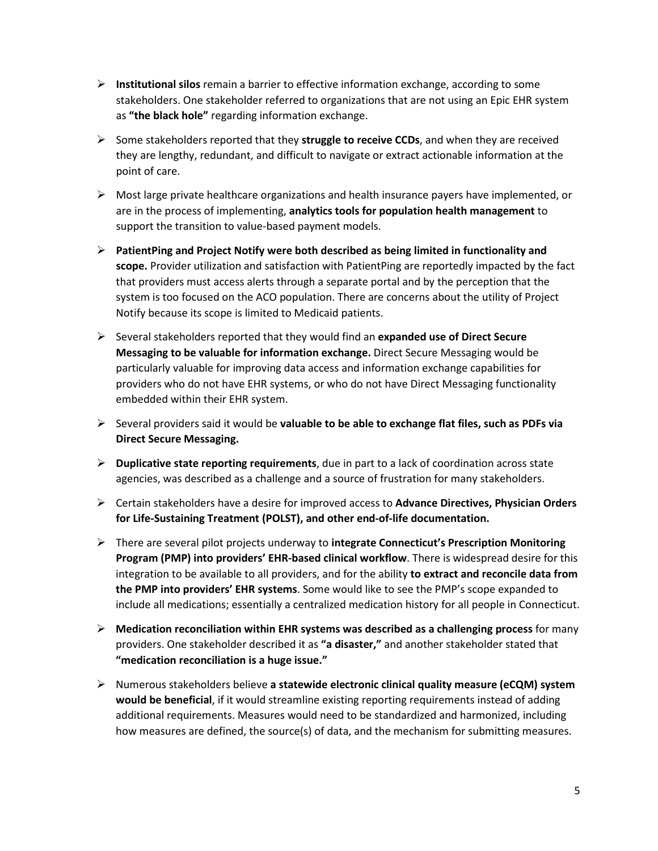- **Institutional silos** remain a barrier to effective information exchange, according to some stakeholders. One stakeholder referred to organizations that are not using an Epic EHR system as **"the black hole"** regarding information exchange.
- Some stakeholders reported that they **struggle to receive CCDs**, and when they are received they are lengthy, redundant, and difficult to navigate or extract actionable information at the point of care.
- $\triangleright$  Most large private healthcare organizations and health insurance payers have implemented, or are in the process of implementing, **analytics tools for population health management** to support the transition to value-based payment models.
- **PatientPing and Project Notify were both described as being limited in functionality and scope.** Provider utilization and satisfaction with PatientPing are reportedly impacted by the fact that providers must access alerts through a separate portal and by the perception that the system is too focused on the ACO population. There are concerns about the utility of Project Notify because its scope is limited to Medicaid patients.
- Several stakeholders reported that they would find an **expanded use of Direct Secure Messaging to be valuable for information exchange.** Direct Secure Messaging would be particularly valuable for improving data access and information exchange capabilities for providers who do not have EHR systems, or who do not have Direct Messaging functionality embedded within their EHR system.
- Several providers said it would be **valuable to be able to exchange flat files, such as PDFs via Direct Secure Messaging.**
- **Duplicative state reporting requirements**, due in part to a lack of coordination across state agencies, was described as a challenge and a source of frustration for many stakeholders.
- Certain stakeholders have a desire for improved access to **Advance Directives, Physician Orders for Life-Sustaining Treatment (POLST), and other end-of-life documentation.**
- There are several pilot projects underway to **integrate Connecticut's Prescription Monitoring Program (PMP) into providers' EHR-based clinical workflow**. There is widespread desire for this integration to be available to all providers, and for the ability **to extract and reconcile data from the PMP into providers' EHR systems**. Some would like to see the PMP's scope expanded to include all medications; essentially a centralized medication history for all people in Connecticut.
- **Medication reconciliation within EHR systems was described as a challenging process** for many providers. One stakeholder described it as **"a disaster,"** and another stakeholder stated that **"medication reconciliation is a huge issue."**
- Numerous stakeholders believe **a statewide electronic clinical quality measure (eCQM) system would be beneficial**, if it would streamline existing reporting requirements instead of adding additional requirements. Measures would need to be standardized and harmonized, including how measures are defined, the source(s) of data, and the mechanism for submitting measures.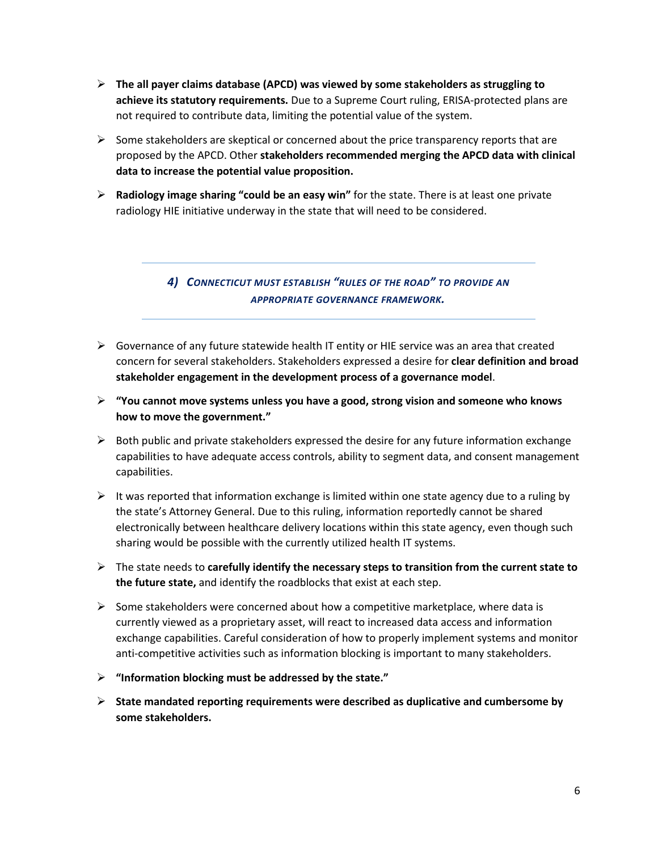- **The all payer claims database (APCD) was viewed by some stakeholders as struggling to achieve its statutory requirements.** Due to a Supreme Court ruling, ERISA-protected plans are not required to contribute data, limiting the potential value of the system.
- $\triangleright$  Some stakeholders are skeptical or concerned about the price transparency reports that are proposed by the APCD. Other **stakeholders recommended merging the APCD data with clinical data to increase the potential value proposition.**
- **Radiology image sharing "could be an easy win"** for the state. There is at least one private radiology HIE initiative underway in the state that will need to be considered.

*4) CONNECTICUT MUST ESTABLISH "RULES OF THE ROAD" TO PROVIDE AN APPROPRIATE GOVERNANCE FRAMEWORK.*

- $\triangleright$  Governance of any future statewide health IT entity or HIE service was an area that created concern for several stakeholders. Stakeholders expressed a desire for **clear definition and broad stakeholder engagement in the development process of a governance model**.
- **"You cannot move systems unless you have a good, strong vision and someone who knows how to move the government."**
- $\triangleright$  Both public and private stakeholders expressed the desire for any future information exchange capabilities to have adequate access controls, ability to segment data, and consent management capabilities.
- $\triangleright$  It was reported that information exchange is limited within one state agency due to a ruling by the state's Attorney General. Due to this ruling, information reportedly cannot be shared electronically between healthcare delivery locations within this state agency, even though such sharing would be possible with the currently utilized health IT systems.
- The state needs to **carefully identify the necessary steps to transition from the current state to the future state,** and identify the roadblocks that exist at each step.
- $\triangleright$  Some stakeholders were concerned about how a competitive marketplace, where data is currently viewed as a proprietary asset, will react to increased data access and information exchange capabilities. Careful consideration of how to properly implement systems and monitor anti-competitive activities such as information blocking is important to many stakeholders.
- **"Information blocking must be addressed by the state."**
- **State mandated reporting requirements were described as duplicative and cumbersome by some stakeholders.**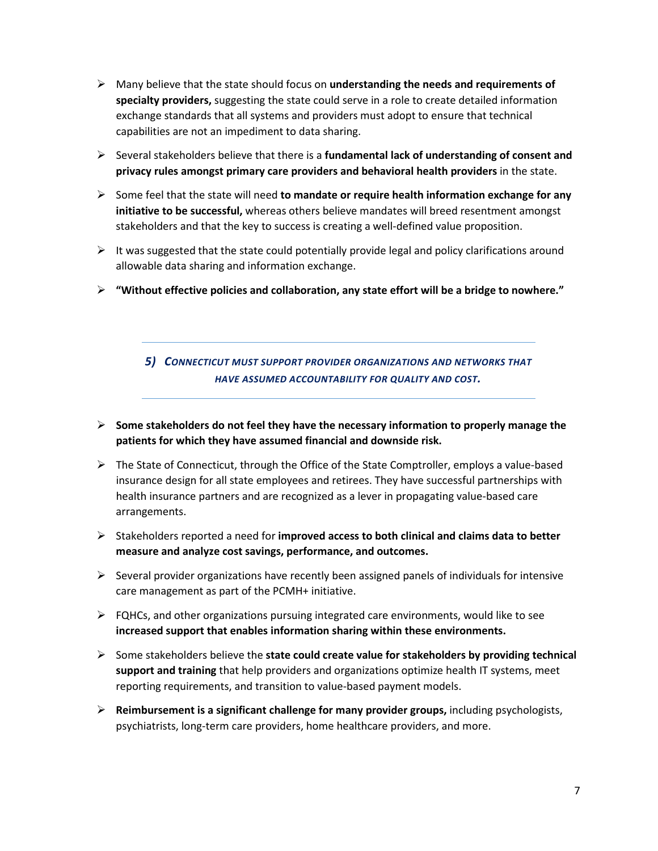- Many believe that the state should focus on **understanding the needs and requirements of specialty providers,** suggesting the state could serve in a role to create detailed information exchange standards that all systems and providers must adopt to ensure that technical capabilities are not an impediment to data sharing.
- $\triangleright$  Several stakeholders believe that there is a **fundamental lack of understanding of consent and privacy rules amongst primary care providers and behavioral health providers** in the state.
- Some feel that the state will need **to mandate or require health information exchange for any initiative to be successful,** whereas others believe mandates will breed resentment amongst stakeholders and that the key to success is creating a well-defined value proposition.
- $\triangleright$  It was suggested that the state could potentially provide legal and policy clarifications around allowable data sharing and information exchange.
- **"Without effective policies and collaboration, any state effort will be a bridge to nowhere."**

*5) CONNECTICUT MUST SUPPORT PROVIDER ORGANIZATIONS AND NETWORKS THAT HAVE ASSUMED ACCOUNTABILITY FOR QUALITY AND COST.*

- **Some stakeholders do not feel they have the necessary information to properly manage the patients for which they have assumed financial and downside risk.**
- $\triangleright$  The State of Connecticut, through the Office of the State Comptroller, employs a value-based insurance design for all state employees and retirees. They have successful partnerships with health insurance partners and are recognized as a lever in propagating value-based care arrangements.
- Stakeholders reported a need for **improved access to both clinical and claims data to better measure and analyze cost savings, performance, and outcomes.**
- $\triangleright$  Several provider organizations have recently been assigned panels of individuals for intensive care management as part of the PCMH+ initiative.
- $\triangleright$  FQHCs, and other organizations pursuing integrated care environments, would like to see **increased support that enables information sharing within these environments.**
- Some stakeholders believe the **state could create value for stakeholders by providing technical support and training** that help providers and organizations optimize health IT systems, meet reporting requirements, and transition to value-based payment models.
- **Reimbursement is a significant challenge for many provider groups,** including psychologists, psychiatrists, long-term care providers, home healthcare providers, and more.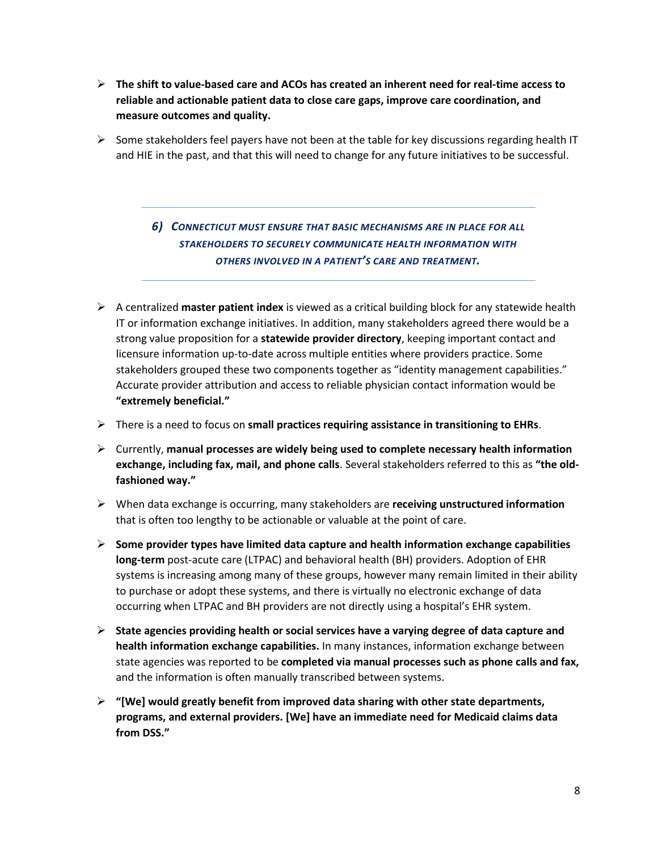- **The shift to value-based care and ACOs has created an inherent need for real-time access to reliable and actionable patient data to close care gaps, improve care coordination, and measure outcomes and quality.**
- $\triangleright$  Some stakeholders feel payers have not been at the table for key discussions regarding health IT and HIE in the past, and that this will need to change for any future initiatives to be successful.

*6) CONNECTICUT MUST ENSURE THAT BASIC MECHANISMS ARE IN PLACE FOR ALL STAKEHOLDERS TO SECURELY COMMUNICATE HEALTH INFORMATION WITH OTHERS INVOLVED IN A PATIENT'S CARE AND TREATMENT.*

- A centralized **master patient index** is viewed as a critical building block for any statewide health IT or information exchange initiatives. In addition, many stakeholders agreed there would be a strong value proposition for a **statewide provider directory**, keeping important contact and licensure information up-to-date across multiple entities where providers practice. Some stakeholders grouped these two components together as "identity management capabilities." Accurate provider attribution and access to reliable physician contact information would be **"extremely beneficial."**
- There is a need to focus on **small practices requiring assistance in transitioning to EHRs**.
- Currently, **manual processes are widely being used to complete necessary health information exchange, including fax, mail, and phone calls**. Several stakeholders referred to this as **"the oldfashioned way."**
- When data exchange is occurring, many stakeholders are **receiving unstructured information** that is often too lengthy to be actionable or valuable at the point of care.
- **Some provider types have limited data capture and health information exchange capabilities long-term** post-acute care (LTPAC) and behavioral health (BH) providers. Adoption of EHR systems is increasing among many of these groups, however many remain limited in their ability to purchase or adopt these systems, and there is virtually no electronic exchange of data occurring when LTPAC and BH providers are not directly using a hospital's EHR system.
- **State agencies providing health or social services have a varying degree of data capture and health information exchange capabilities.** In many instances, information exchange between state agencies was reported to be **completed via manual processes such as phone calls and fax,** and the information is often manually transcribed between systems.
- **"[We] would greatly benefit from improved data sharing with other state departments, programs, and external providers. [We] have an immediate need for Medicaid claims data from DSS."**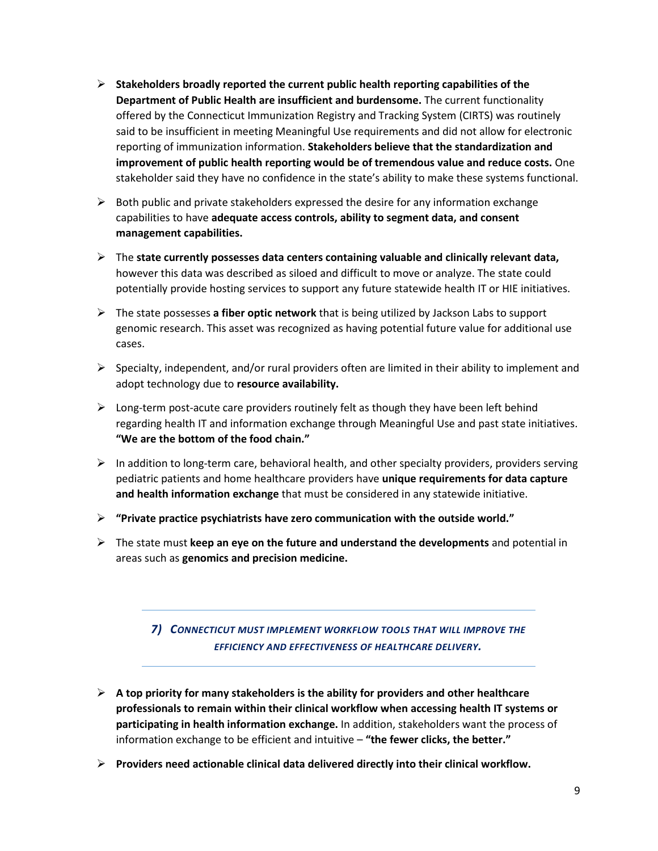- **Stakeholders broadly reported the current public health reporting capabilities of the Department of Public Health are insufficient and burdensome.** The current functionality offered by the Connecticut Immunization Registry and Tracking System (CIRTS) was routinely said to be insufficient in meeting Meaningful Use requirements and did not allow for electronic reporting of immunization information. **Stakeholders believe that the standardization and improvement of public health reporting would be of tremendous value and reduce costs.** One stakeholder said they have no confidence in the state's ability to make these systems functional.
- $\triangleright$  Both public and private stakeholders expressed the desire for any information exchange capabilities to have **adequate access controls, ability to segment data, and consent management capabilities.**
- The **state currently possesses data centers containing valuable and clinically relevant data,** however this data was described as siloed and difficult to move or analyze. The state could potentially provide hosting services to support any future statewide health IT or HIE initiatives.
- The state possesses **a fiber optic network** that is being utilized by Jackson Labs to support genomic research. This asset was recognized as having potential future value for additional use cases.
- $\triangleright$  Specialty, independent, and/or rural providers often are limited in their ability to implement and adopt technology due to **resource availability.**
- $\triangleright$  Long-term post-acute care providers routinely felt as though they have been left behind regarding health IT and information exchange through Meaningful Use and past state initiatives. **"We are the bottom of the food chain."**
- $\triangleright$  In addition to long-term care, behavioral health, and other specialty providers, providers serving pediatric patients and home healthcare providers have **unique requirements for data capture and health information exchange** that must be considered in any statewide initiative.
- **"Private practice psychiatrists have zero communication with the outside world."**
- The state must **keep an eye on the future and understand the developments** and potential in areas such as **genomics and precision medicine.**

#### *7) CONNECTICUT MUST IMPLEMENT WORKFLOW TOOLS THAT WILL IMPROVE THE EFFICIENCY AND EFFECTIVENESS OF HEALTHCARE DELIVERY.*

- **A top priority for many stakeholders is the ability for providers and other healthcare professionals to remain within their clinical workflow when accessing health IT systems or participating in health information exchange.** In addition, stakeholders want the process of information exchange to be efficient and intuitive – **"the fewer clicks, the better."**
- **Providers need actionable clinical data delivered directly into their clinical workflow.**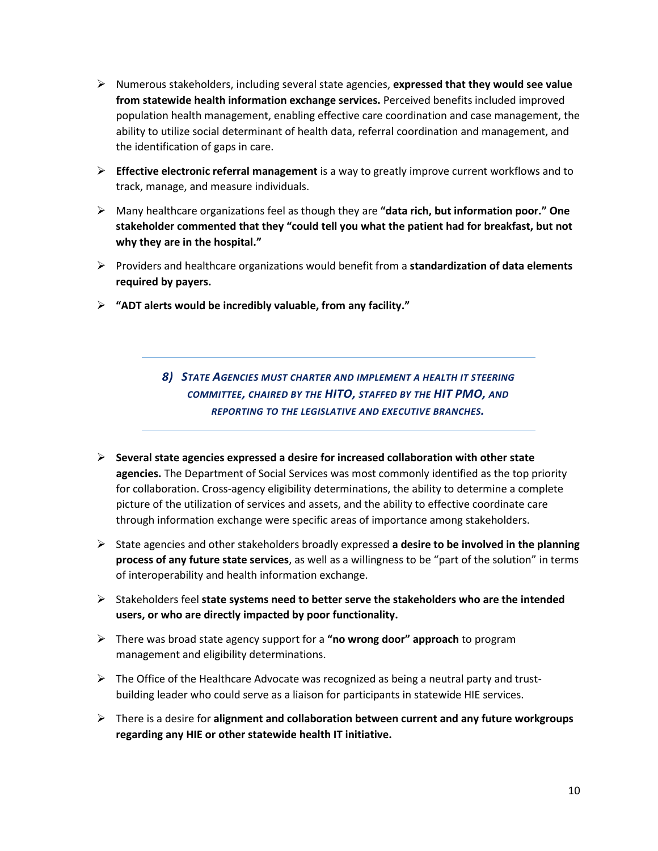- Numerous stakeholders, including several state agencies, **expressed that they would see value from statewide health information exchange services.** Perceived benefits included improved population health management, enabling effective care coordination and case management, the ability to utilize social determinant of health data, referral coordination and management, and the identification of gaps in care.
- **Effective electronic referral management** is a way to greatly improve current workflows and to track, manage, and measure individuals.
- Many healthcare organizations feel as though they are **"data rich, but information poor." One stakeholder commented that they "could tell you what the patient had for breakfast, but not why they are in the hospital."**
- Providers and healthcare organizations would benefit from a **standardization of data elements required by payers.**
- **"ADT alerts would be incredibly valuable, from any facility."**

*8) STATE AGENCIES MUST CHARTER AND IMPLEMENT A HEALTH IT STEERING COMMITTEE, CHAIRED BY THE HITO, STAFFED BY THE HIT PMO, AND REPORTING TO THE LEGISLATIVE AND EXECUTIVE BRANCHES.*

- **Several state agencies expressed a desire for increased collaboration with other state agencies.** The Department of Social Services was most commonly identified as the top priority for collaboration. Cross-agency eligibility determinations, the ability to determine a complete picture of the utilization of services and assets, and the ability to effective coordinate care through information exchange were specific areas of importance among stakeholders.
- State agencies and other stakeholders broadly expressed **a desire to be involved in the planning process of any future state services**, as well as a willingness to be "part of the solution" in terms of interoperability and health information exchange.
- Stakeholders feel **state systems need to better serve the stakeholders who are the intended users, or who are directly impacted by poor functionality.**
- There was broad state agency support for a **"no wrong door" approach** to program management and eligibility determinations.
- $\triangleright$  The Office of the Healthcare Advocate was recognized as being a neutral party and trustbuilding leader who could serve as a liaison for participants in statewide HIE services.
- There is a desire for **alignment and collaboration between current and any future workgroups regarding any HIE or other statewide health IT initiative.**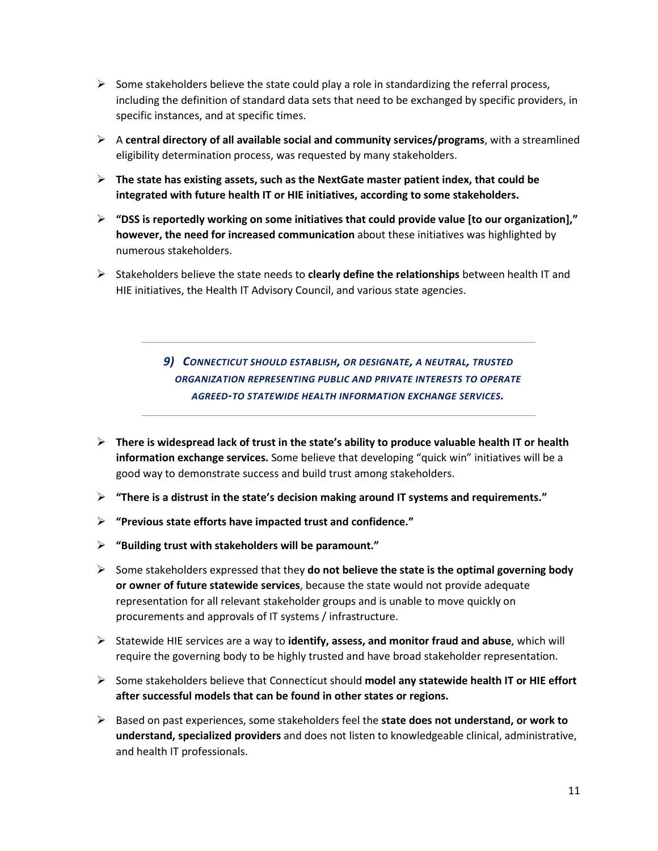- $\triangleright$  Some stakeholders believe the state could play a role in standardizing the referral process, including the definition of standard data sets that need to be exchanged by specific providers, in specific instances, and at specific times.
- A **central directory of all available social and community services/programs**, with a streamlined eligibility determination process, was requested by many stakeholders.
- **The state has existing assets, such as the NextGate master patient index, that could be integrated with future health IT or HIE initiatives, according to some stakeholders.**
- **"DSS is reportedly working on some initiatives that could provide value [to our organization]," however, the need for increased communication** about these initiatives was highlighted by numerous stakeholders.
- Stakeholders believe the state needs to **clearly define the relationships** between health IT and HIE initiatives, the Health IT Advisory Council, and various state agencies.

*9) CONNECTICUT SHOULD ESTABLISH, OR DESIGNATE, A NEUTRAL, TRUSTED ORGANIZATION REPRESENTING PUBLIC AND PRIVATE INTERESTS TO OPERATE AGREED-TO STATEWIDE HEALTH INFORMATION EXCHANGE SERVICES.*

- **There is widespread lack of trust in the state's ability to produce valuable health IT or health information exchange services.** Some believe that developing "quick win" initiatives will be a good way to demonstrate success and build trust among stakeholders.
- **"There is a distrust in the state's decision making around IT systems and requirements."**
- **"Previous state efforts have impacted trust and confidence."**
- **"Building trust with stakeholders will be paramount."**
- $\triangleright$  Some stakeholders expressed that they **do not believe the state is the optimal governing body or owner of future statewide services**, because the state would not provide adequate representation for all relevant stakeholder groups and is unable to move quickly on procurements and approvals of IT systems / infrastructure.
- Statewide HIE services are a way to **identify, assess, and monitor fraud and abuse**, which will require the governing body to be highly trusted and have broad stakeholder representation.
- Some stakeholders believe that Connecticut should **model any statewide health IT or HIE effort after successful models that can be found in other states or regions.**
- Based on past experiences, some stakeholders feel the **state does not understand, or work to understand, specialized providers** and does not listen to knowledgeable clinical, administrative, and health IT professionals.